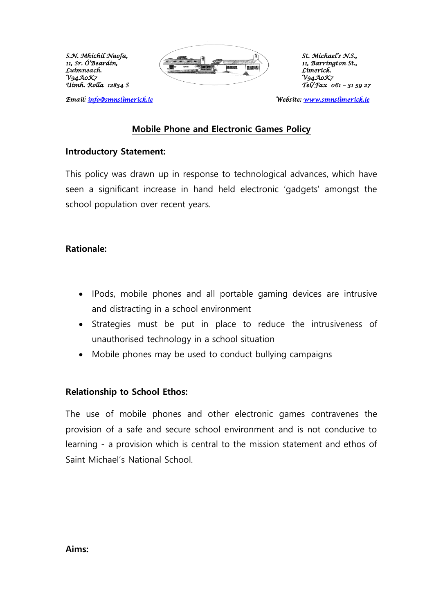*Uimh. Rolla 12834 S Tel/Fax 061 – 31 59 27* 



Emaíl: <u>ínfo@smnslímeríck.íe</u>

### *Email: [info@smnslimerick.ie](mailto:info@smnslimerick.ie) Website: [www.smnslimerick.ie](http://www.smnslimerick.ie/)*

#### **Mobile Phone and Electronic Games Policy**

#### **Introductory Statement:**

This policy was drawn up in response to technological advances, which have seen a significant increase in hand held electronic 'gadgets' amongst the school population over recent years.

#### **Rationale:**

- IPods, mobile phones and all portable gaming devices are intrusive and distracting in a school environment
- Strategies must be put in place to reduce the intrusiveness of unauthorised technology in a school situation
- Mobile phones may be used to conduct bullying campaigns

#### **Relationship to School Ethos:**

The use of mobile phones and other electronic games contravenes the provision of a safe and secure school environment and is not conducive to learning - a provision which is central to the mission statement and ethos of Saint Michael's National School.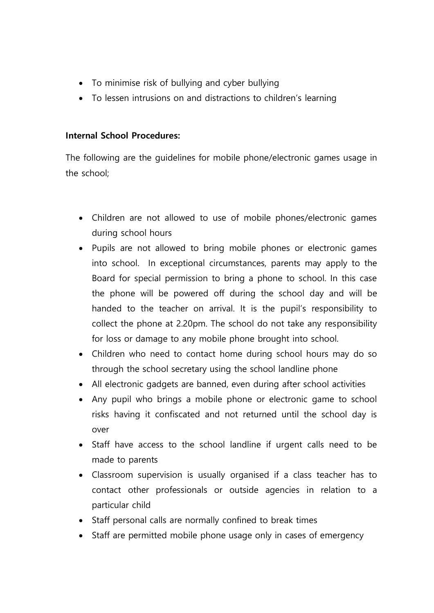- To minimise risk of bullying and cyber bullying
- To lessen intrusions on and distractions to children's learning

# **Internal School Procedures:**

The following are the guidelines for mobile phone/electronic games usage in the school;

- Children are not allowed to use of mobile phones/electronic games during school hours
- Pupils are not allowed to bring mobile phones or electronic games into school. In exceptional circumstances, parents may apply to the Board for special permission to bring a phone to school. In this case the phone will be powered off during the school day and will be handed to the teacher on arrival. It is the pupil's responsibility to collect the phone at 2.20pm. The school do not take any responsibility for loss or damage to any mobile phone brought into school.
- Children who need to contact home during school hours may do so through the school secretary using the school landline phone
- All electronic gadgets are banned, even during after school activities
- Any pupil who brings a mobile phone or electronic game to school risks having it confiscated and not returned until the school day is over
- Staff have access to the school landline if urgent calls need to be made to parents
- Classroom supervision is usually organised if a class teacher has to contact other professionals or outside agencies in relation to a particular child
- Staff personal calls are normally confined to break times
- Staff are permitted mobile phone usage only in cases of emergency